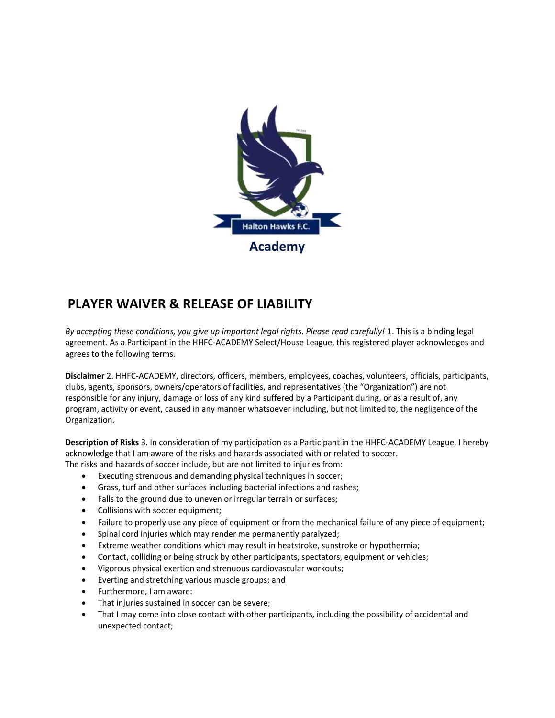

## **PLAYER WAIVER & RELEASE OF LIABILITY**

*By accepting these conditions, you give up important legal rights. Please read carefully!* 1. This is a binding legal agreement. As a Participant in the HHFC-ACADEMY Select/House League, this registered player acknowledges and agrees to the following terms.

**Disclaimer** 2. HHFC-ACADEMY, directors, officers, members, employees, coaches, volunteers, officials, participants, clubs, agents, sponsors, owners/operators of facilities, and representatives (the "Organization") are not responsible for any injury, damage or loss of any kind suffered by a Participant during, or as a result of, any program, activity or event, caused in any manner whatsoever including, but not limited to, the negligence of the Organization.

**Description of Risks** 3. In consideration of my participation as a Participant in the HHFC-ACADEMY League, I hereby acknowledge that I am aware of the risks and hazards associated with or related to soccer. The risks and hazards of soccer include, but are not limited to injuries from:

- Executing strenuous and demanding physical techniques in soccer;
- Grass, turf and other surfaces including bacterial infections and rashes;
- Falls to the ground due to uneven or irregular terrain or surfaces;
- Collisions with soccer equipment;
- Failure to properly use any piece of equipment or from the mechanical failure of any piece of equipment;
- Spinal cord injuries which may render me permanently paralyzed;
- Extreme weather conditions which may result in heatstroke, sunstroke or hypothermia;
- Contact, colliding or being struck by other participants, spectators, equipment or vehicles;
- Vigorous physical exertion and strenuous cardiovascular workouts;
- Everting and stretching various muscle groups; and
- Furthermore, I am aware:
- That injuries sustained in soccer can be severe;
- That I may come into close contact with other participants, including the possibility of accidental and unexpected contact;